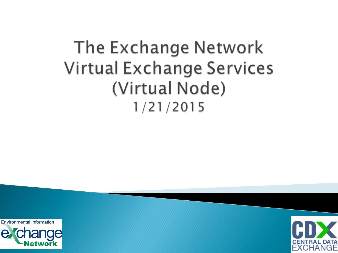## The Exchange Network Virtual Exchange Services (Virtual Node)  $1/21/2015$

**Environmental Information** 



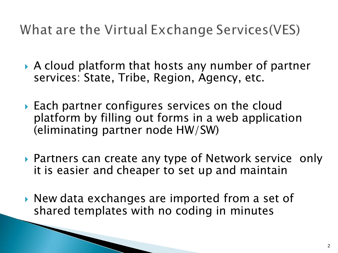What are the Virtual Exchange Services (VES)

- A cloud platform that hosts any number of partner services: State, Tribe, Region, Agency, etc.
- ▶ Each partner configures services on the cloud platform by filling out forms in a web application (eliminating partner node HW/SW)
- ▶ Partners can create any type of Network service only it is easier and cheaper to set up and maintain
- ▶ New data exchanges are imported from a set of shared templates with no coding in minutes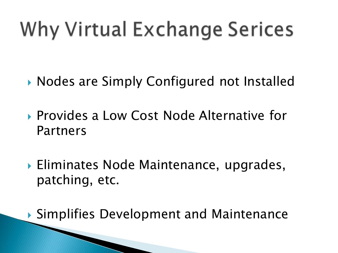# Why Virtual Exchange Serices

- ▶ Nodes are Simply Configured not Installed
- ▶ Provides a Low Cost Node Alternative for Partners
- ▶ Eliminates Node Maintenance, upgrades, patching, etc.

▶ Simplifies Development and Maintenance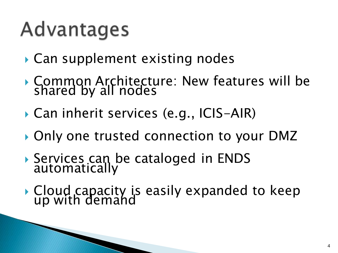# Advantages

- ▶ Can supplement existing nodes
- Common Architecture: New features will be shared by all nodes
- Can inherit services (e.g., ICIS-AIR)
- ▶ Only one trusted connection to your DMZ
- Services can be cataloged in ENDS automatically
- Cloud capacity is easily expanded to keep up with demand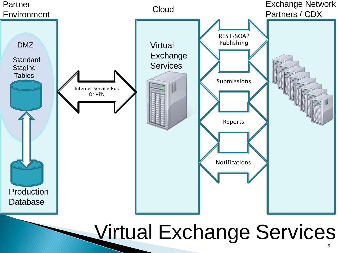

## Virtual Exchange Services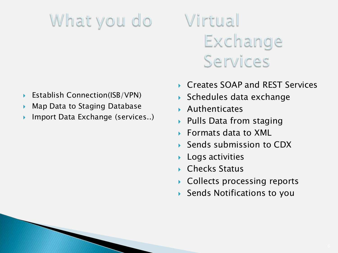## What you do

- Establish Connection(ISB/VPN)
- Map Data to Staging Database
- Import Data Exchange (services..)

## Virtual Exchange Services

- Creates SOAP and REST Services
- Schedules data exchange
- Authenticates
- Pulls Data from staging
- Formats data to XML
- Sends submission to CDX
- Logs activities
- ▶ Checks Status
- ▶ Collects processing reports
- Sends Notifications to you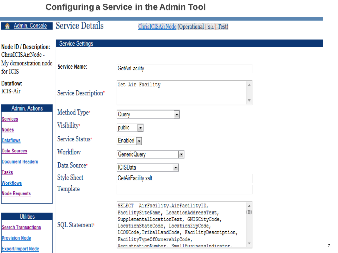#### **Configuring a Service in the Admin Tool**

| Admin. Console                                          | Service Details         | ChrisICISAirNode (Operational   2.1   Test)                                                                                                                                |   |
|---------------------------------------------------------|-------------------------|----------------------------------------------------------------------------------------------------------------------------------------------------------------------------|---|
| <b>Node ID / Description:</b>                           | <b>Service Settings</b> |                                                                                                                                                                            |   |
| ChrisICISAirNode -<br>My demonstration node<br>for ICIS | <b>Service Name:</b>    | <b>GetAirFacility</b>                                                                                                                                                      |   |
| Dataflow:<br><b>ICIS-Air</b>                            | Service Description*    | Get Air Facility                                                                                                                                                           |   |
| Admin. Actions                                          | Method Type*            | $\overline{\phantom{a}}$<br>Query                                                                                                                                          |   |
| <b>Services</b><br><b>Nodes</b>                         | Visibility*             | public<br>$\blacktriangledown$                                                                                                                                             |   |
| <b>Dataflows</b>                                        | Service Status*         | Enable                                                                                                                                                                     |   |
| <b>Data Sources</b>                                     | Workflow                | <b>GenericQuery</b><br>$\overline{\phantom{a}}$                                                                                                                            |   |
| <b>Document Headers</b>                                 | Data Source*            | <b>ICISData</b><br>$\blacktriangledown$                                                                                                                                    |   |
| <b>Tasks</b><br><b>Workflows</b>                        | Style Sheet             | GetAirFacility.xslt                                                                                                                                                        |   |
| <b>Node Requests</b>                                    | Template                |                                                                                                                                                                            |   |
|                                                         |                         | SELECT AirFacility.AirFacilityID,                                                                                                                                          |   |
| <b>Utilities</b><br><b>Search Transactions</b>          | SQL Statement*          | FacilitySiteName, LocationAddressText,<br>SupplementalLocationText, GNISCityCode,<br>LocationStateCode, LocationZipCode,<br>LCONCode, TribalLandCode, FacilityDescription, | 冒 |

FacilityTypeOfOwnershipCode,

RegistrationNumber. SmallBusinessIndicator.

 $\overline{\phantom{a}}$ 

**Provision Node** 

**Export/Import Node**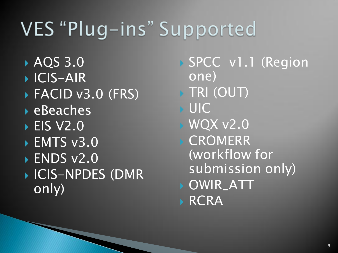## VES "Plug-ins" Supported

**AQS 3.0** ▶ ICIS-AIR FACID v3.0 (FRS) **EBeaches ► EIS V2.0** ▶ EMTS v3.0 ▶ ENDS v2.0 ICIS-NPDES (DMR only)

 SPCC v1.1 (Region one) **TRI (OUT)**  UIC WQX v2.0 **CROMERR** (workflow for submission only) OWIR\_ATT **RCRA**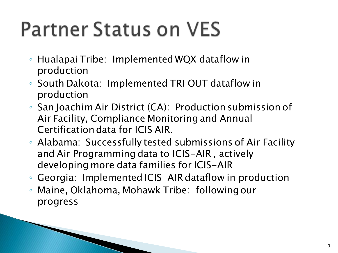# **Partner Status on VES**

- Hualapai Tribe: Implemented WQX dataflow in production
- South Dakota: Implemented TRI OUT dataflow in production
- San Joachim Air District (CA): Production submission of Air Facility, Compliance Monitoring and Annual Certification data for ICIS AIR.
- Alabama: Successfully tested submissions of Air Facility and Air Programming data to ICIS-AIR , actively developing more data families for ICIS-AIR
- Georgia: Implemented ICIS-AIR dataflow in production
- Maine, Oklahoma, Mohawk Tribe: following our progress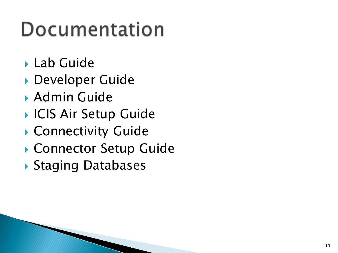# Documentation

- ▶ Lab Guide
- Developer Guide
- Admin Guide
- ▶ ICIS Air Setup Guide
- Connectivity Guide
- ▶ Connector Setup Guide
- Staging Databases